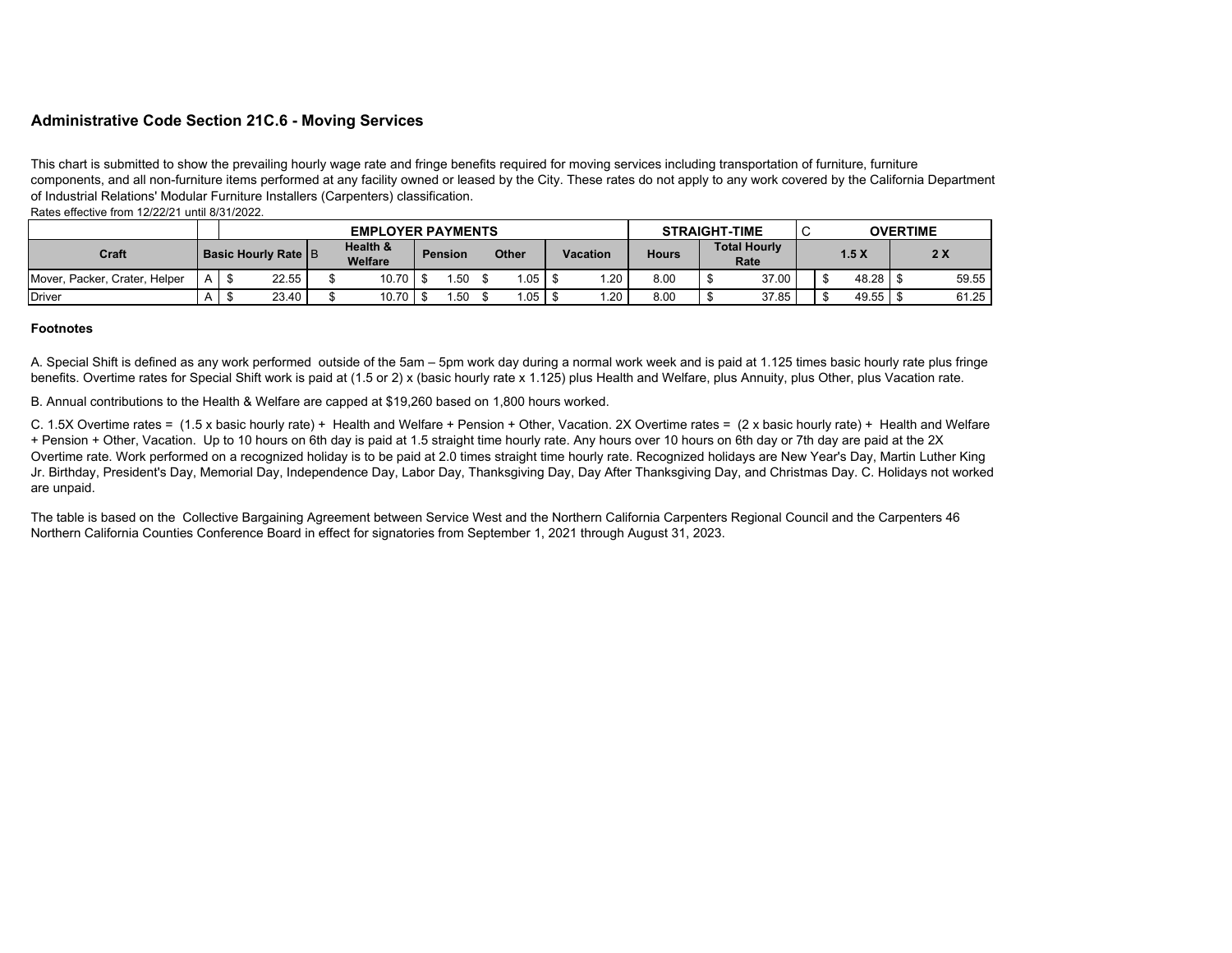## **Administrative Code Section 21C.6 - Moving Services**

This chart is submitted to show the prevailing hourly wage rate and fringe benefits required for moving services including transportation of furniture, furniture components, and all non-furniture items performed at any facility owned or leased by the City. These rates do not apply to any work covered by the California Department of Industrial Relations' Modular Furniture Installers (Carpenters) classification.

Rates effective from 12/22/21 until 8/31/2022.

|                                  |                              |  |                            | <b>EMPLOYER PAYMENTS</b> |  |              | <b>STRAIGHT-TIME</b> |          |  |              | $\sim$<br><b>OVERTIME</b><br>◡ |  |       |  |  |       |  |       |
|----------------------------------|------------------------------|--|----------------------------|--------------------------|--|--------------|----------------------|----------|--|--------------|--------------------------------|--|-------|--|--|-------|--|-------|
| Craft                            | <b>Basic Hourly Rate   B</b> |  | Health &<br><b>Welfare</b> | <b>Pension</b>           |  | <b>Other</b> |                      | Vacation |  | <b>Hours</b> | <b>Total Hourly</b><br>Rate    |  | 1.5X  |  |  | 2X    |  |       |
| Crater, Helper<br>Mover, Packer, | $A$   $\frac{1}{3}$          |  | 22.55                      | 10.70                    |  | .50          |                      | l.05     |  | .20          | 8.00                           |  | 37.00 |  |  |       |  | 59.55 |
| <b>Driver</b>                    |                              |  | 23.40                      | 10.70                    |  | .50          |                      | .05      |  | .20          | 8.00                           |  | 37.85 |  |  | 49.55 |  | 61.25 |

## **Footnotes**

A. Special Shift is defined as any work performed outside of the 5am – 5pm work day during a normal work week and is paid at 1.125 times basic hourly rate plus fringe benefits. Overtime rates for Special Shift work is paid at (1.5 or 2) x (basic hourly rate x 1.125) plus Health and Welfare, plus Annuity, plus Other, plus Vacation rate.

B. Annual contributions to the Health & Welfare are capped at \$19,260 based on 1,800 hours worked.

C. 1.5X Overtime rates = (1.5 x basic hourly rate) + Health and Welfare + Pension + Other, Vacation. 2X Overtime rates = (2 x basic hourly rate) + Health and Welfare + Pension + Other, Vacation. Up to 10 hours on 6th day is paid at 1.5 straight time hourly rate. Any hours over 10 hours on 6th day or 7th day are paid at the 2X Overtime rate. Work performed on a recognized holiday is to be paid at 2.0 times straight time hourly rate. Recognized holidays are New Year's Day, Martin Luther King Jr. Birthday, President's Day, Memorial Day, Independence Day, Labor Day, Thanksgiving Day, Day After Thanksgiving Day, and Christmas Day. C. Holidays not worked are unpaid.

The table is based on the Collective Bargaining Agreement between Service West and the Northern California Carpenters Regional Council and the Carpenters 46 Northern California Counties Conference Board in effect for signatories from September 1, 2021 through August 31, 2023.